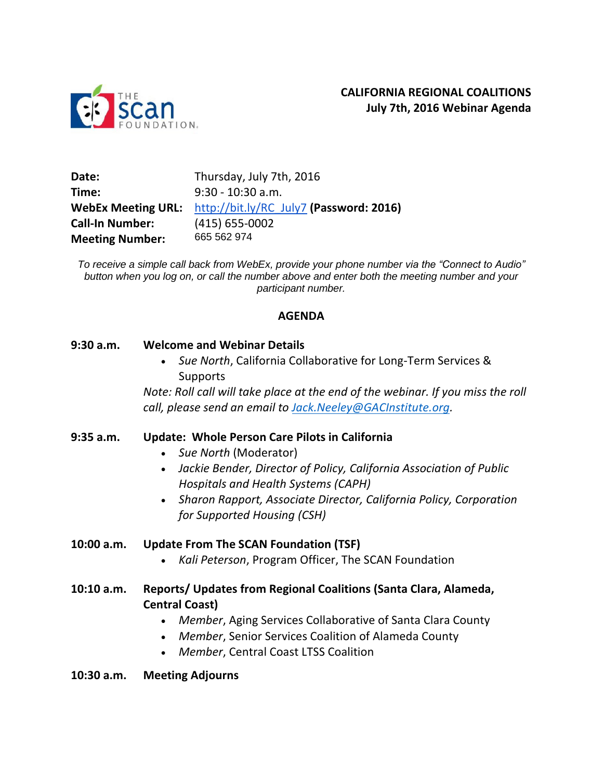

| Date:                     | Thursday, July 7th, 2016                |
|---------------------------|-----------------------------------------|
| Time:                     | $9:30 - 10:30$ a.m.                     |
| <b>WebEx Meeting URL:</b> | http://bit.ly/RC July7 (Password: 2016) |
| <b>Call-In Number:</b>    | $(415)$ 655-0002                        |
| <b>Meeting Number:</b>    | 665 562 974                             |

*To receive a simple call back from WebEx, provide your phone number via the "Connect to Audio" button when you log on, or call the number above and enter both the meeting number and your participant number.*

### **AGENDA**

#### **9:30 a.m. Welcome and Webinar Details**

 *Sue North*, California Collaborative for Long-Term Services & Supports

*Note: Roll call will take place at the end of the webinar. If you miss the roll call, please send an email to [Jack.Neeley@GACInstitute.org.](mailto:Jack.Neeley@GACInstitute.org)* 

### **9:35 a.m. Update: Whole Person Care Pilots in California**

- *Sue North* (Moderator)
- *Jackie Bender, Director of Policy, California Association of Public Hospitals and Health Systems (CAPH)*
- *Sharon Rapport, Associate Director, California Policy, Corporation for Supported Housing (CSH)*

### **10:00 a.m. Update From The SCAN Foundation (TSF)**

*Kali Peterson*, Program Officer, The SCAN Foundation

## **10:10 a.m. Reports/ Updates from Regional Coalitions (Santa Clara, Alameda, Central Coast)**

- *Member*, Aging Services Collaborative of Santa Clara County
- *Member*, Senior Services Coalition of Alameda County
- *Member*, Central Coast LTSS Coalition

### **10:30 a.m. Meeting Adjourns**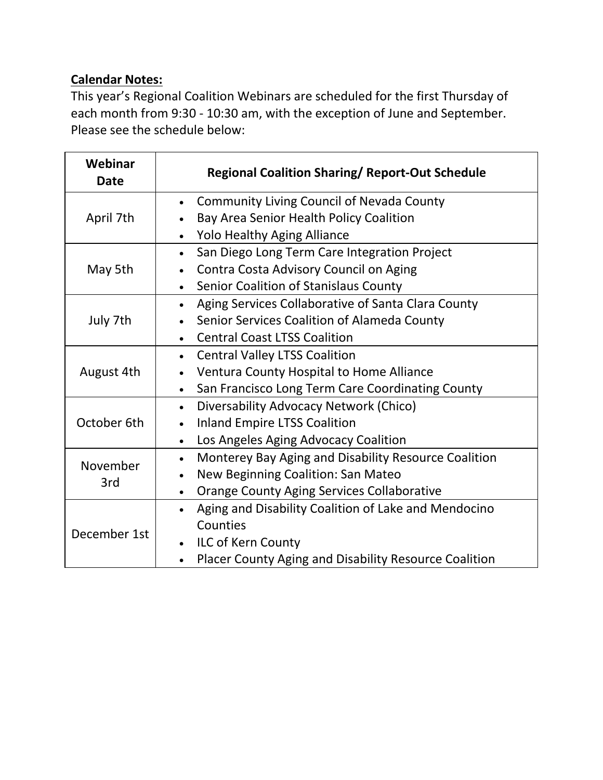## **Calendar Notes:**

This year's Regional Coalition Webinars are scheduled for the first Thursday of each month from 9:30 - 10:30 am, with the exception of June and September. Please see the schedule below:

| Webinar<br><b>Date</b> | <b>Regional Coalition Sharing/ Report-Out Schedule</b>             |
|------------------------|--------------------------------------------------------------------|
| April 7th              | <b>Community Living Council of Nevada County</b><br>$\bullet$      |
|                        | Bay Area Senior Health Policy Coalition                            |
|                        | <b>Yolo Healthy Aging Alliance</b><br>$\bullet$                    |
| May 5th                | San Diego Long Term Care Integration Project<br>$\bullet$          |
|                        | Contra Costa Advisory Council on Aging<br>$\bullet$                |
|                        | Senior Coalition of Stanislaus County<br>$\bullet$                 |
| July 7th               | Aging Services Collaborative of Santa Clara County<br>$\bullet$    |
|                        | Senior Services Coalition of Alameda County<br>$\bullet$           |
|                        | <b>Central Coast LTSS Coalition</b><br>$\bullet$                   |
| August 4th             | <b>Central Valley LTSS Coalition</b><br>$\bullet$                  |
|                        | Ventura County Hospital to Home Alliance<br>$\bullet$              |
|                        | San Francisco Long Term Care Coordinating County<br>$\bullet$      |
| October 6th            | Diversability Advocacy Network (Chico)<br>$\bullet$                |
|                        | <b>Inland Empire LTSS Coalition</b>                                |
|                        | Los Angeles Aging Advocacy Coalition<br>$\bullet$                  |
| November<br>3rd        | Monterey Bay Aging and Disability Resource Coalition<br>$\bullet$  |
|                        | New Beginning Coalition: San Mateo<br>$\bullet$                    |
|                        | <b>Orange County Aging Services Collaborative</b><br>$\bullet$     |
| December 1st           | Aging and Disability Coalition of Lake and Mendocino<br>$\bullet$  |
|                        | Counties                                                           |
|                        | ILC of Kern County<br>$\bullet$                                    |
|                        | Placer County Aging and Disability Resource Coalition<br>$\bullet$ |